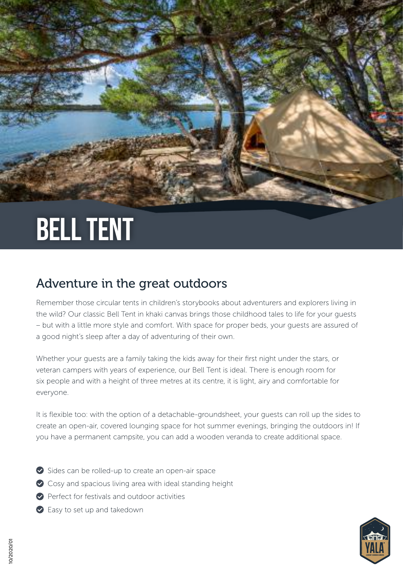# Bell tent

### Adventure in the great outdoors

Remember those circular tents in children's storybooks about adventurers and explorers living in the wild? Our classic Bell Tent in khaki canvas brings those childhood tales to life for your guests – but with a little more style and comfort. With space for proper beds, your guests are assured of a good night's sleep after a day of adventuring of their own.

Whether your guests are a family taking the kids away for their first night under the stars, or veteran campers with years of experience, our Bell Tent is ideal. There is enough room for six people and with a height of three metres at its centre, it is light, airy and comfortable for everyone.

It is flexible too: with the option of a detachable-groundsheet, your guests can roll up the sides to create an open-air, covered lounging space for hot summer evenings, bringing the outdoors in! If you have a permanent campsite, you can add a wooden veranda to create additional space.

- Sides can be rolled-up to create an open-air space
- ◆ Cosy and spacious living area with ideal standing height
- Perfect for festivals and outdoor activities
- ◆ Easy to set up and takedown

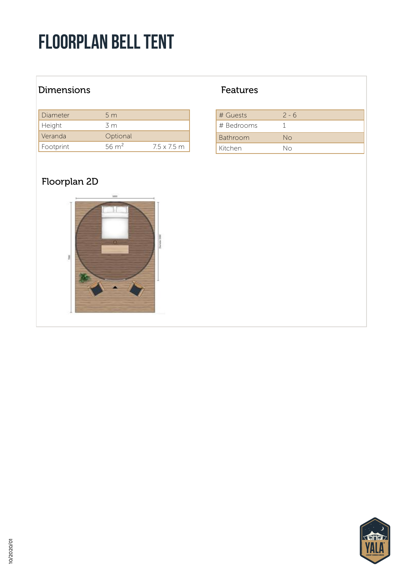## Floorplan bell tent

#### Dimensions **Features**

| Diameter  | 5m               |                    |
|-----------|------------------|--------------------|
| Height    | 3 m              |                    |
| Veranda   | Optional         |                    |
| Footprint | $56 \text{ m}^2$ | $7.5 \times 7.5$ m |

#### Floorplan 2D



| # Guests        | $2 - 6$ |
|-----------------|---------|
| # Bedrooms      |         |
| <b>Bathroom</b> | No      |
| Kitchen         | Nη      |

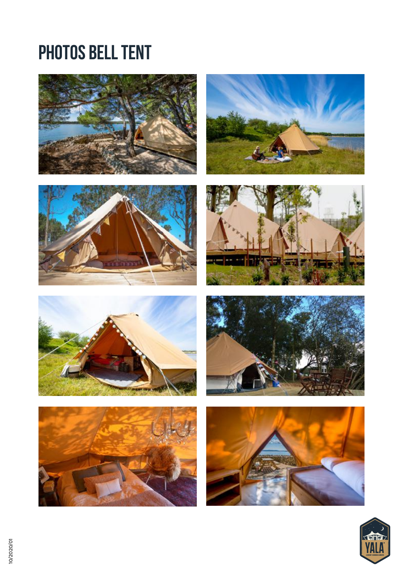### **PHOTOS BELL TENT**